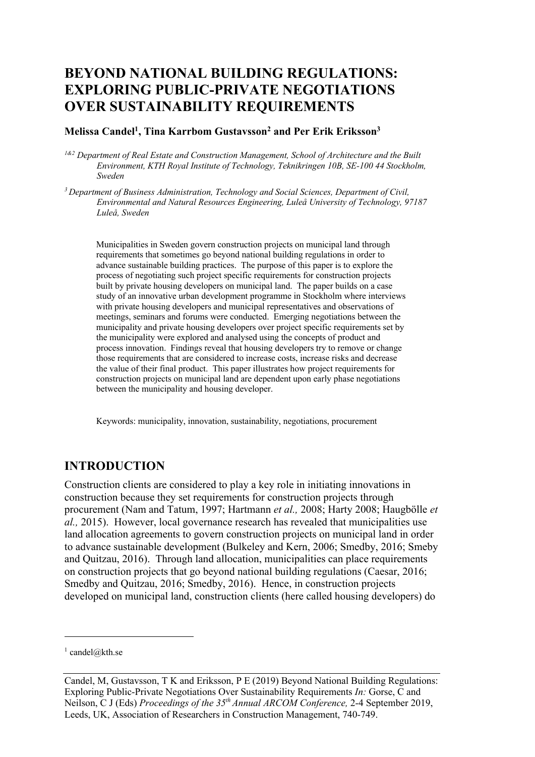# **BEYOND NATIONAL BUILDING REGULATIONS: EXPLORING PUBLIC-PRIVATE NEGOTIATIONS OVER SUSTAINABILITY REQUIREMENTS**

#### **Melissa Candel1, Tina Karrbom Gustavsson2 and Per Erik Eriksson3**

*1&2 Department of Real Estate and Construction Management, School of Architecture and the Built Environment, KTH Royal Institute of Technology, Teknikringen 10B, SE-100 44 Stockholm, Sweden*

*3 Department of Business Administration, Technology and Social Sciences, Department of Civil, Environmental and Natural Resources Engineering, Luleå University of Technology, 97187 Luleå, Sweden*

Municipalities in Sweden govern construction projects on municipal land through requirements that sometimes go beyond national building regulations in order to advance sustainable building practices. The purpose of this paper is to explore the process of negotiating such project specific requirements for construction projects built by private housing developers on municipal land. The paper builds on a case study of an innovative urban development programme in Stockholm where interviews with private housing developers and municipal representatives and observations of meetings, seminars and forums were conducted. Emerging negotiations between the municipality and private housing developers over project specific requirements set by the municipality were explored and analysed using the concepts of product and process innovation. Findings reveal that housing developers try to remove or change those requirements that are considered to increase costs, increase risks and decrease the value of their final product. This paper illustrates how project requirements for construction projects on municipal land are dependent upon early phase negotiations between the municipality and housing developer.

Keywords: municipality, innovation, sustainability, negotiations, procurement

### **INTRODUCTION**

Construction clients are considered to play a key role in initiating innovations in construction because they set requirements for construction projects through procurement (Nam and Tatum, 1997; Hartmann *et al.,* 2008; Harty 2008; Haugbölle *et al.,* 2015). However, local governance research has revealed that municipalities use land allocation agreements to govern construction projects on municipal land in order to advance sustainable development (Bulkeley and Kern, 2006; Smedby, 2016; Smeby and Quitzau, 2016). Through land allocation, municipalities can place requirements on construction projects that go beyond national building regulations (Caesar, 2016; Smedby and Quitzau, 2016; Smedby, 2016). Hence, in construction projects developed on municipal land, construction clients (here called housing developers) do

 $1$  candel@kth.se

Candel, M, Gustavsson, T K and Eriksson, P E (2019) Beyond National Building Regulations: Exploring Public-Private Negotiations Over Sustainability Requirements *In:* Gorse, C and Neilson, C J (Eds) *Proceedings of the 35th Annual ARCOM Conference,* 2-4 September 2019, Leeds, UK, Association of Researchers in Construction Management, 740-749.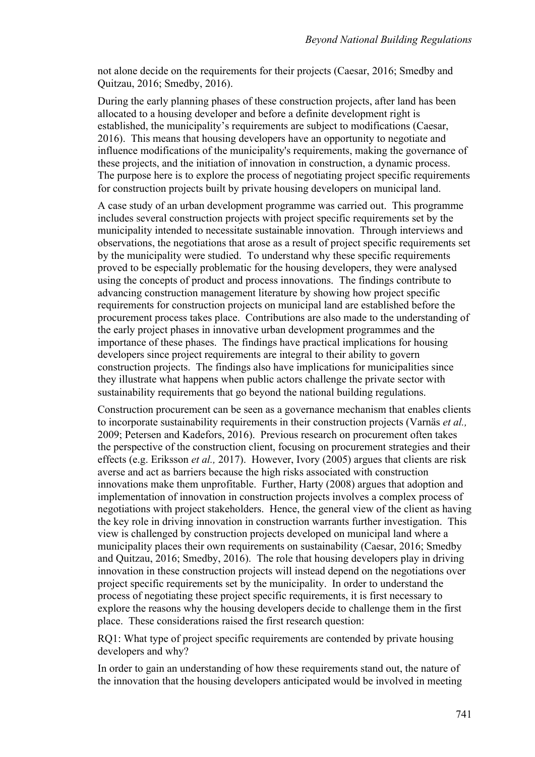not alone decide on the requirements for their projects (Caesar, 2016; Smedby and Quitzau, 2016; Smedby, 2016).

During the early planning phases of these construction projects, after land has been allocated to a housing developer and before a definite development right is established, the municipality's requirements are subject to modifications (Caesar, 2016). This means that housing developers have an opportunity to negotiate and influence modifications of the municipality's requirements, making the governance of these projects, and the initiation of innovation in construction, a dynamic process. The purpose here is to explore the process of negotiating project specific requirements for construction projects built by private housing developers on municipal land.

A case study of an urban development programme was carried out. This programme includes several construction projects with project specific requirements set by the municipality intended to necessitate sustainable innovation. Through interviews and observations, the negotiations that arose as a result of project specific requirements set by the municipality were studied. To understand why these specific requirements proved to be especially problematic for the housing developers, they were analysed using the concepts of product and process innovations. The findings contribute to advancing construction management literature by showing how project specific requirements for construction projects on municipal land are established before the procurement process takes place. Contributions are also made to the understanding of the early project phases in innovative urban development programmes and the importance of these phases. The findings have practical implications for housing developers since project requirements are integral to their ability to govern construction projects. The findings also have implications for municipalities since they illustrate what happens when public actors challenge the private sector with sustainability requirements that go beyond the national building regulations.

Construction procurement can be seen as a governance mechanism that enables clients to incorporate sustainability requirements in their construction projects (Varnäs *et al.,*  2009; Petersen and Kadefors, 2016). Previous research on procurement often takes the perspective of the construction client, focusing on procurement strategies and their effects (e.g. Eriksson *et al.,* 2017). However, Ivory (2005) argues that clients are risk averse and act as barriers because the high risks associated with construction innovations make them unprofitable. Further, Harty (2008) argues that adoption and implementation of innovation in construction projects involves a complex process of negotiations with project stakeholders. Hence, the general view of the client as having the key role in driving innovation in construction warrants further investigation. This view is challenged by construction projects developed on municipal land where a municipality places their own requirements on sustainability (Caesar, 2016; Smedby and Quitzau, 2016; Smedby, 2016). The role that housing developers play in driving innovation in these construction projects will instead depend on the negotiations over project specific requirements set by the municipality. In order to understand the process of negotiating these project specific requirements, it is first necessary to explore the reasons why the housing developers decide to challenge them in the first place. These considerations raised the first research question:

RQ1: What type of project specific requirements are contended by private housing developers and why?

In order to gain an understanding of how these requirements stand out, the nature of the innovation that the housing developers anticipated would be involved in meeting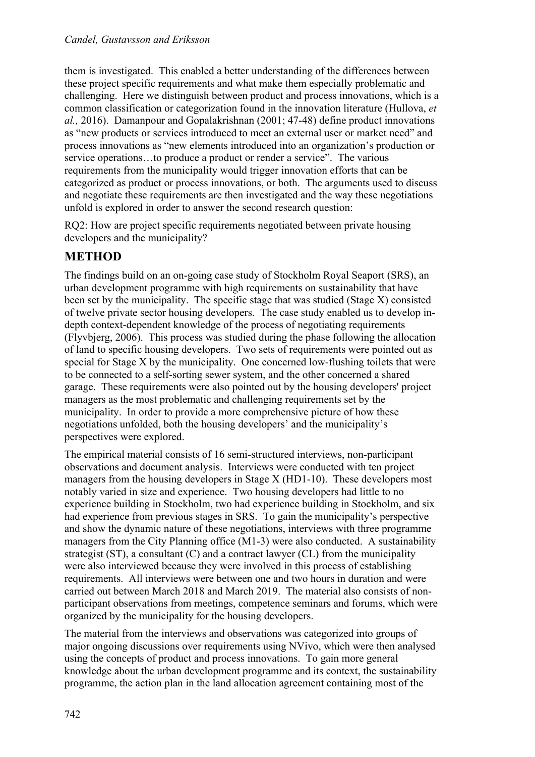them is investigated. This enabled a better understanding of the differences between these project specific requirements and what make them especially problematic and challenging. Here we distinguish between product and process innovations, which is a common classification or categorization found in the innovation literature (Hullova, *et al.,* 2016). Damanpour and Gopalakrishnan (2001; 47-48) define product innovations as "new products or services introduced to meet an external user or market need" and process innovations as "new elements introduced into an organization's production or service operations…to produce a product or render a service". The various requirements from the municipality would trigger innovation efforts that can be categorized as product or process innovations, or both. The arguments used to discuss and negotiate these requirements are then investigated and the way these negotiations unfold is explored in order to answer the second research question:

RQ2: How are project specific requirements negotiated between private housing developers and the municipality?

# **METHOD**

The findings build on an on-going case study of Stockholm Royal Seaport (SRS), an urban development programme with high requirements on sustainability that have been set by the municipality. The specific stage that was studied (Stage X) consisted of twelve private sector housing developers. The case study enabled us to develop indepth context-dependent knowledge of the process of negotiating requirements (Flyvbjerg, 2006). This process was studied during the phase following the allocation of land to specific housing developers. Two sets of requirements were pointed out as special for Stage X by the municipality. One concerned low-flushing toilets that were to be connected to a self-sorting sewer system, and the other concerned a shared garage. These requirements were also pointed out by the housing developers' project managers as the most problematic and challenging requirements set by the municipality. In order to provide a more comprehensive picture of how these negotiations unfolded, both the housing developers' and the municipality's perspectives were explored.

The empirical material consists of 16 semi-structured interviews, non-participant observations and document analysis. Interviews were conducted with ten project managers from the housing developers in Stage X (HD1-10). These developers most notably varied in size and experience. Two housing developers had little to no experience building in Stockholm, two had experience building in Stockholm, and six had experience from previous stages in SRS. To gain the municipality's perspective and show the dynamic nature of these negotiations, interviews with three programme managers from the City Planning office (M1-3) were also conducted. A sustainability strategist (ST), a consultant (C) and a contract lawyer (CL) from the municipality were also interviewed because they were involved in this process of establishing requirements. All interviews were between one and two hours in duration and were carried out between March 2018 and March 2019. The material also consists of nonparticipant observations from meetings, competence seminars and forums, which were organized by the municipality for the housing developers.

The material from the interviews and observations was categorized into groups of major ongoing discussions over requirements using NVivo, which were then analysed using the concepts of product and process innovations. To gain more general knowledge about the urban development programme and its context, the sustainability programme, the action plan in the land allocation agreement containing most of the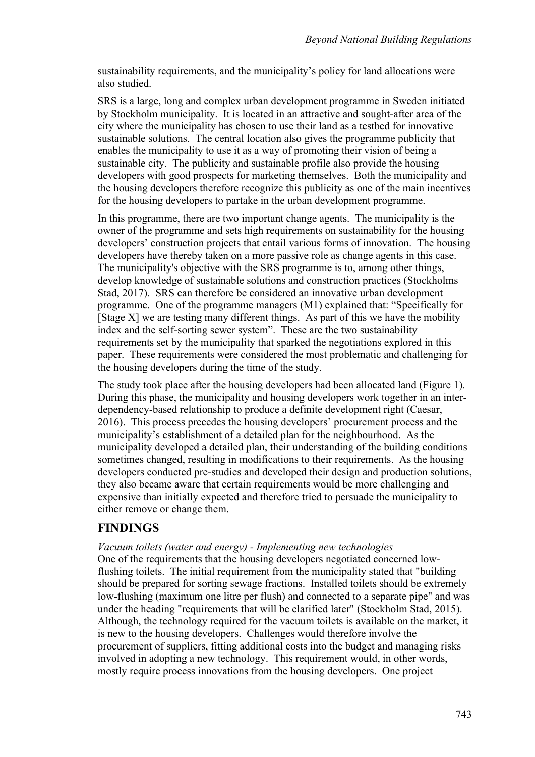sustainability requirements, and the municipality's policy for land allocations were also studied.

SRS is a large, long and complex urban development programme in Sweden initiated by Stockholm municipality. It is located in an attractive and sought-after area of the city where the municipality has chosen to use their land as a testbed for innovative sustainable solutions. The central location also gives the programme publicity that enables the municipality to use it as a way of promoting their vision of being a sustainable city. The publicity and sustainable profile also provide the housing developers with good prospects for marketing themselves. Both the municipality and the housing developers therefore recognize this publicity as one of the main incentives for the housing developers to partake in the urban development programme.

In this programme, there are two important change agents. The municipality is the owner of the programme and sets high requirements on sustainability for the housing developers' construction projects that entail various forms of innovation. The housing developers have thereby taken on a more passive role as change agents in this case. The municipality's objective with the SRS programme is to, among other things, develop knowledge of sustainable solutions and construction practices (Stockholms Stad, 2017). SRS can therefore be considered an innovative urban development programme. One of the programme managers (M1) explained that: "Specifically for [Stage X] we are testing many different things. As part of this we have the mobility index and the self-sorting sewer system". These are the two sustainability requirements set by the municipality that sparked the negotiations explored in this paper. These requirements were considered the most problematic and challenging for the housing developers during the time of the study.

The study took place after the housing developers had been allocated land (Figure 1). During this phase, the municipality and housing developers work together in an interdependency-based relationship to produce a definite development right (Caesar, 2016). This process precedes the housing developers' procurement process and the municipality's establishment of a detailed plan for the neighbourhood. As the municipality developed a detailed plan, their understanding of the building conditions sometimes changed, resulting in modifications to their requirements. As the housing developers conducted pre-studies and developed their design and production solutions, they also became aware that certain requirements would be more challenging and expensive than initially expected and therefore tried to persuade the municipality to either remove or change them.

### **FINDINGS**

#### *Vacuum toilets (water and energy) - Implementing new technologies*

One of the requirements that the housing developers negotiated concerned lowflushing toilets. The initial requirement from the municipality stated that "building should be prepared for sorting sewage fractions. Installed toilets should be extremely low-flushing (maximum one litre per flush) and connected to a separate pipe" and was under the heading "requirements that will be clarified later" (Stockholm Stad, 2015). Although, the technology required for the vacuum toilets is available on the market, it is new to the housing developers. Challenges would therefore involve the procurement of suppliers, fitting additional costs into the budget and managing risks involved in adopting a new technology. This requirement would, in other words, mostly require process innovations from the housing developers. One project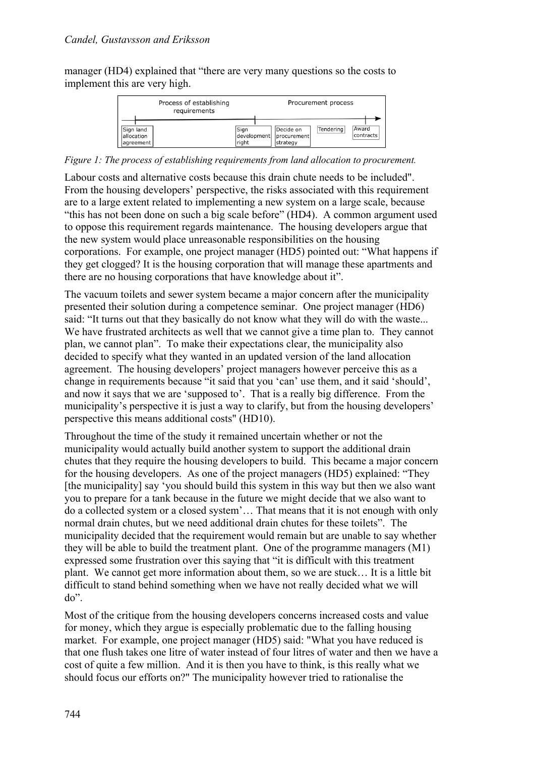manager (HD4) explained that "there are very many questions so the costs to implement this are very high.



*Figure 1: The process of establishing requirements from land allocation to procurement.*

Labour costs and alternative costs because this drain chute needs to be included". From the housing developers' perspective, the risks associated with this requirement are to a large extent related to implementing a new system on a large scale, because "this has not been done on such a big scale before" (HD4). A common argument used to oppose this requirement regards maintenance. The housing developers argue that the new system would place unreasonable responsibilities on the housing corporations. For example, one project manager (HD5) pointed out: "What happens if they get clogged? It is the housing corporation that will manage these apartments and there are no housing corporations that have knowledge about it".

The vacuum toilets and sewer system became a major concern after the municipality presented their solution during a competence seminar. One project manager (HD6) said: "It turns out that they basically do not know what they will do with the waste... We have frustrated architects as well that we cannot give a time plan to. They cannot plan, we cannot plan". To make their expectations clear, the municipality also decided to specify what they wanted in an updated version of the land allocation agreement. The housing developers' project managers however perceive this as a change in requirements because "it said that you 'can' use them, and it said 'should', and now it says that we are 'supposed to'. That is a really big difference. From the municipality's perspective it is just a way to clarify, but from the housing developers' perspective this means additional costs" (HD10).

Throughout the time of the study it remained uncertain whether or not the municipality would actually build another system to support the additional drain chutes that they require the housing developers to build. This became a major concern for the housing developers. As one of the project managers (HD5) explained: "They [the municipality] say 'you should build this system in this way but then we also want you to prepare for a tank because in the future we might decide that we also want to do a collected system or a closed system'… That means that it is not enough with only normal drain chutes, but we need additional drain chutes for these toilets". The municipality decided that the requirement would remain but are unable to say whether they will be able to build the treatment plant. One of the programme managers (M1) expressed some frustration over this saying that "it is difficult with this treatment plant. We cannot get more information about them, so we are stuck… It is a little bit difficult to stand behind something when we have not really decided what we will do".

Most of the critique from the housing developers concerns increased costs and value for money, which they argue is especially problematic due to the falling housing market. For example, one project manager (HD5) said: "What you have reduced is that one flush takes one litre of water instead of four litres of water and then we have a cost of quite a few million. And it is then you have to think, is this really what we should focus our efforts on?" The municipality however tried to rationalise the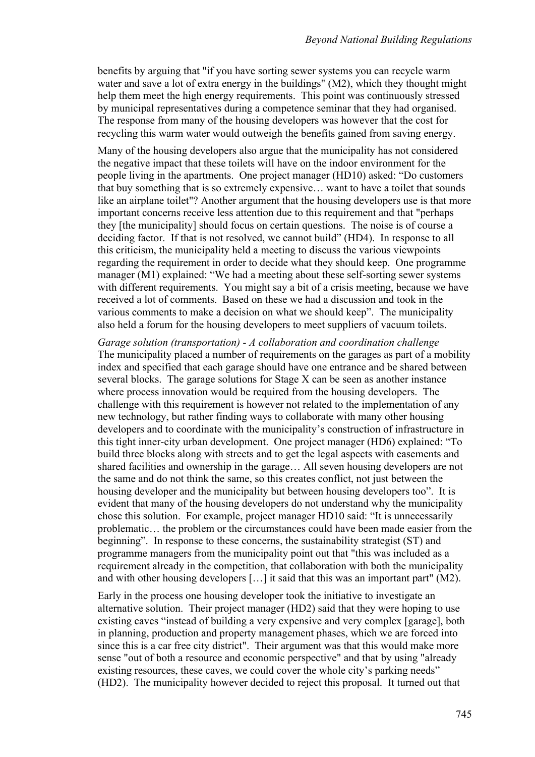benefits by arguing that "if you have sorting sewer systems you can recycle warm water and save a lot of extra energy in the buildings" (M2), which they thought might help them meet the high energy requirements. This point was continuously stressed by municipal representatives during a competence seminar that they had organised. The response from many of the housing developers was however that the cost for recycling this warm water would outweigh the benefits gained from saving energy.

Many of the housing developers also argue that the municipality has not considered the negative impact that these toilets will have on the indoor environment for the people living in the apartments. One project manager (HD10) asked: "Do customers that buy something that is so extremely expensive… want to have a toilet that sounds like an airplane toilet"? Another argument that the housing developers use is that more important concerns receive less attention due to this requirement and that "perhaps they [the municipality] should focus on certain questions. The noise is of course a deciding factor. If that is not resolved, we cannot build" (HD4). In response to all this criticism, the municipality held a meeting to discuss the various viewpoints regarding the requirement in order to decide what they should keep. One programme manager (M1) explained: "We had a meeting about these self-sorting sewer systems with different requirements. You might say a bit of a crisis meeting, because we have received a lot of comments. Based on these we had a discussion and took in the various comments to make a decision on what we should keep". The municipality also held a forum for the housing developers to meet suppliers of vacuum toilets.

*Garage solution (transportation) - A collaboration and coordination challenge* The municipality placed a number of requirements on the garages as part of a mobility index and specified that each garage should have one entrance and be shared between several blocks. The garage solutions for Stage X can be seen as another instance where process innovation would be required from the housing developers. The challenge with this requirement is however not related to the implementation of any new technology, but rather finding ways to collaborate with many other housing developers and to coordinate with the municipality's construction of infrastructure in this tight inner-city urban development. One project manager (HD6) explained: "To build three blocks along with streets and to get the legal aspects with easements and shared facilities and ownership in the garage… All seven housing developers are not the same and do not think the same, so this creates conflict, not just between the housing developer and the municipality but between housing developers too". It is evident that many of the housing developers do not understand why the municipality chose this solution. For example, project manager HD10 said: "It is unnecessarily problematic… the problem or the circumstances could have been made easier from the beginning". In response to these concerns, the sustainability strategist (ST) and programme managers from the municipality point out that "this was included as a requirement already in the competition, that collaboration with both the municipality and with other housing developers […] it said that this was an important part" (M2).

Early in the process one housing developer took the initiative to investigate an alternative solution. Their project manager (HD2) said that they were hoping to use existing caves "instead of building a very expensive and very complex [garage], both in planning, production and property management phases, which we are forced into since this is a car free city district". Their argument was that this would make more sense "out of both a resource and economic perspective" and that by using "already existing resources, these caves, we could cover the whole city's parking needs" (HD2). The municipality however decided to reject this proposal. It turned out that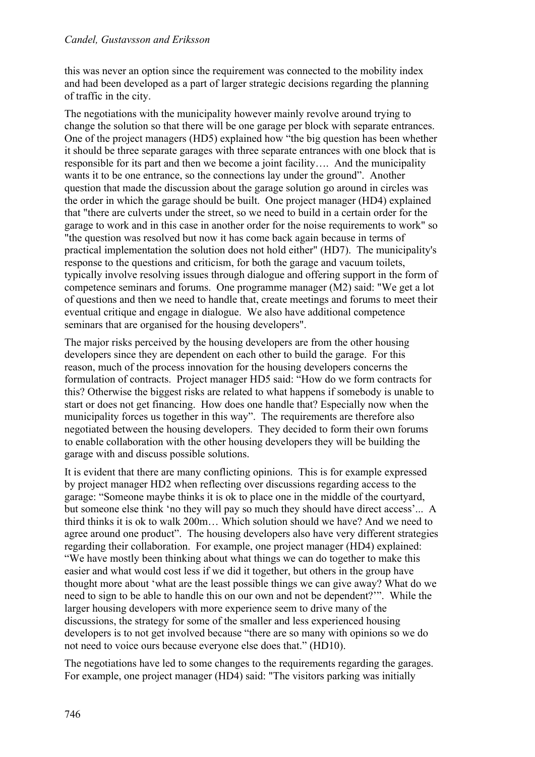#### *Candel, Gustavsson and Eriksson*

this was never an option since the requirement was connected to the mobility index and had been developed as a part of larger strategic decisions regarding the planning of traffic in the city.

The negotiations with the municipality however mainly revolve around trying to change the solution so that there will be one garage per block with separate entrances. One of the project managers (HD5) explained how "the big question has been whether it should be three separate garages with three separate entrances with one block that is responsible for its part and then we become a joint facility…. And the municipality wants it to be one entrance, so the connections lay under the ground". Another question that made the discussion about the garage solution go around in circles was the order in which the garage should be built. One project manager (HD4) explained that "there are culverts under the street, so we need to build in a certain order for the garage to work and in this case in another order for the noise requirements to work" so "the question was resolved but now it has come back again because in terms of practical implementation the solution does not hold either" (HD7). The municipality's response to the questions and criticism, for both the garage and vacuum toilets, typically involve resolving issues through dialogue and offering support in the form of competence seminars and forums. One programme manager (M2) said: "We get a lot of questions and then we need to handle that, create meetings and forums to meet their eventual critique and engage in dialogue. We also have additional competence seminars that are organised for the housing developers".

The major risks perceived by the housing developers are from the other housing developers since they are dependent on each other to build the garage. For this reason, much of the process innovation for the housing developers concerns the formulation of contracts. Project manager HD5 said: "How do we form contracts for this? Otherwise the biggest risks are related to what happens if somebody is unable to start or does not get financing. How does one handle that? Especially now when the municipality forces us together in this way". The requirements are therefore also negotiated between the housing developers. They decided to form their own forums to enable collaboration with the other housing developers they will be building the garage with and discuss possible solutions.

It is evident that there are many conflicting opinions. This is for example expressed by project manager HD2 when reflecting over discussions regarding access to the garage: "Someone maybe thinks it is ok to place one in the middle of the courtyard, but someone else think 'no they will pay so much they should have direct access'... A third thinks it is ok to walk 200m… Which solution should we have? And we need to agree around one product". The housing developers also have very different strategies regarding their collaboration. For example, one project manager (HD4) explained: "We have mostly been thinking about what things we can do together to make this easier and what would cost less if we did it together, but others in the group have thought more about 'what are the least possible things we can give away? What do we need to sign to be able to handle this on our own and not be dependent?'". While the larger housing developers with more experience seem to drive many of the discussions, the strategy for some of the smaller and less experienced housing developers is to not get involved because "there are so many with opinions so we do not need to voice ours because everyone else does that." (HD10).

The negotiations have led to some changes to the requirements regarding the garages. For example, one project manager (HD4) said: "The visitors parking was initially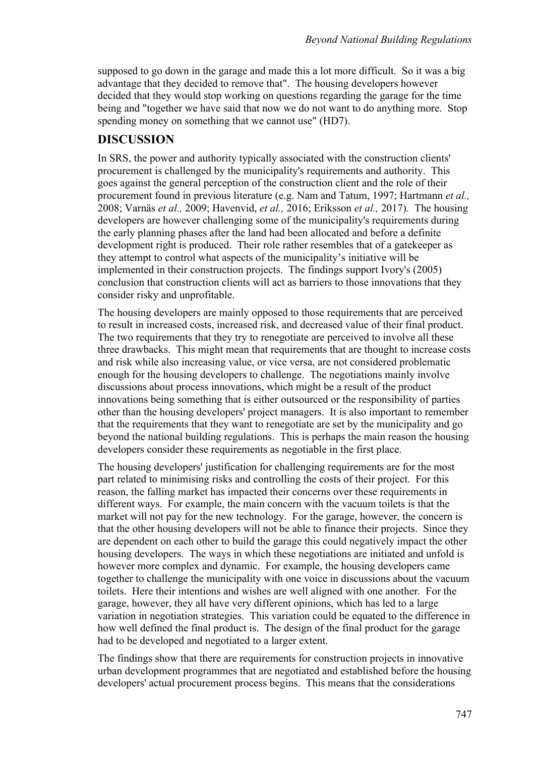supposed to go down in the garage and made this a lot more difficult. So it was a big advantage that they decided to remove that". The housing developers however decided that they would stop working on questions regarding the garage for the time being and "together we have said that now we do not want to do anything more. Stop spending money on something that we cannot use" (HD7).

### **DISCUSSION**

In SRS, the power and authority typically associated with the construction clients' procurement is challenged by the municipality's requirements and authority. This goes against the general perception of the construction client and the role of their procurement found in previous literature (e.g. Nam and Tatum, 1997; Hartmann *et al.,*  2008; Varnäs *et al.,* 2009; Havenvid, *et al.,* 2016; Eriksson *et al.,* 2017). The housing developers are however challenging some of the municipality's requirements during the early planning phases after the land had been allocated and before a definite development right is produced. Their role rather resembles that of a gatekeeper as they attempt to control what aspects of the municipality's initiative will be implemented in their construction projects. The findings support Ivory's (2005) conclusion that construction clients will act as barriers to those innovations that they consider risky and unprofitable.

The housing developers are mainly opposed to those requirements that are perceived to result in increased costs, increased risk, and decreased value of their final product. The two requirements that they try to renegotiate are perceived to involve all these three drawbacks. This might mean that requirements that are thought to increase costs and risk while also increasing value, or vice versa, are not considered problematic enough for the housing developers to challenge. The negotiations mainly involve discussions about process innovations, which might be a result of the product innovations being something that is either outsourced or the responsibility of parties other than the housing developers' project managers. It is also important to remember that the requirements that they want to renegotiate are set by the municipality and go beyond the national building regulations. This is perhaps the main reason the housing developers consider these requirements as negotiable in the first place.

The housing developers' justification for challenging requirements are for the most part related to minimising risks and controlling the costs of their project. For this reason, the falling market has impacted their concerns over these requirements in different ways. For example, the main concern with the vacuum toilets is that the market will not pay for the new technology. For the garage, however, the concern is that the other housing developers will not be able to finance their projects. Since they are dependent on each other to build the garage this could negatively impact the other housing developers. The ways in which these negotiations are initiated and unfold is however more complex and dynamic. For example, the housing developers came together to challenge the municipality with one voice in discussions about the vacuum toilets. Here their intentions and wishes are well aligned with one another. For the garage, however, they all have very different opinions, which has led to a large variation in negotiation strategies. This variation could be equated to the difference in how well defined the final product is. The design of the final product for the garage had to be developed and negotiated to a larger extent.

The findings show that there are requirements for construction projects in innovative urban development programmes that are negotiated and established before the housing developers' actual procurement process begins. This means that the considerations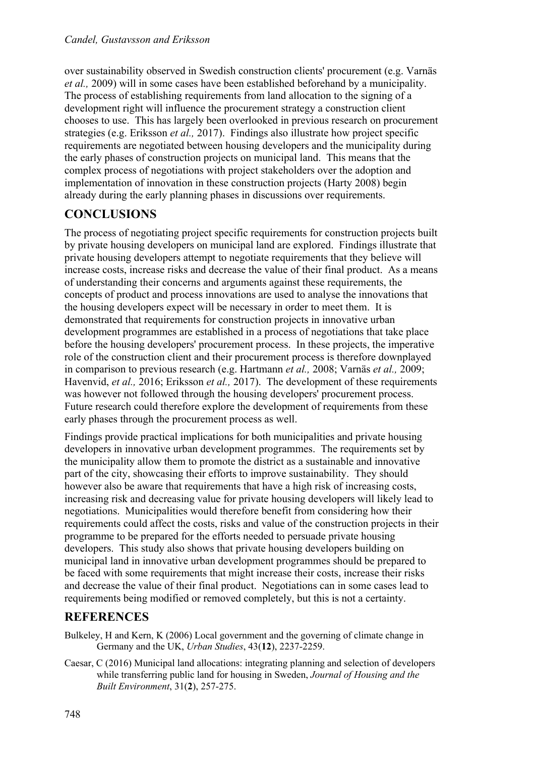over sustainability observed in Swedish construction clients' procurement (e.g. Varnäs *et al.,* 2009) will in some cases have been established beforehand by a municipality. The process of establishing requirements from land allocation to the signing of a development right will influence the procurement strategy a construction client chooses to use. This has largely been overlooked in previous research on procurement strategies (e.g. Eriksson *et al.,* 2017). Findings also illustrate how project specific requirements are negotiated between housing developers and the municipality during the early phases of construction projects on municipal land. This means that the complex process of negotiations with project stakeholders over the adoption and implementation of innovation in these construction projects (Harty 2008) begin already during the early planning phases in discussions over requirements.

# **CONCLUSIONS**

The process of negotiating project specific requirements for construction projects built by private housing developers on municipal land are explored. Findings illustrate that private housing developers attempt to negotiate requirements that they believe will increase costs, increase risks and decrease the value of their final product. As a means of understanding their concerns and arguments against these requirements, the concepts of product and process innovations are used to analyse the innovations that the housing developers expect will be necessary in order to meet them. It is demonstrated that requirements for construction projects in innovative urban development programmes are established in a process of negotiations that take place before the housing developers' procurement process. In these projects, the imperative role of the construction client and their procurement process is therefore downplayed in comparison to previous research (e.g. Hartmann *et al.,* 2008; Varnäs *et al.,* 2009; Havenvid, *et al.,* 2016; Eriksson *et al.,* 2017). The development of these requirements was however not followed through the housing developers' procurement process. Future research could therefore explore the development of requirements from these early phases through the procurement process as well.

Findings provide practical implications for both municipalities and private housing developers in innovative urban development programmes. The requirements set by the municipality allow them to promote the district as a sustainable and innovative part of the city, showcasing their efforts to improve sustainability. They should however also be aware that requirements that have a high risk of increasing costs, increasing risk and decreasing value for private housing developers will likely lead to negotiations. Municipalities would therefore benefit from considering how their requirements could affect the costs, risks and value of the construction projects in their programme to be prepared for the efforts needed to persuade private housing developers. This study also shows that private housing developers building on municipal land in innovative urban development programmes should be prepared to be faced with some requirements that might increase their costs, increase their risks and decrease the value of their final product. Negotiations can in some cases lead to requirements being modified or removed completely, but this is not a certainty.

# **REFERENCES**

Bulkeley, H and Kern, K (2006) Local government and the governing of climate change in Germany and the UK, *Urban Studies*, 43(**12**), 2237-2259.

Caesar, C (2016) Municipal land allocations: integrating planning and selection of developers while transferring public land for housing in Sweden, *Journal of Housing and the Built Environment*, 31(**2**), 257-275.